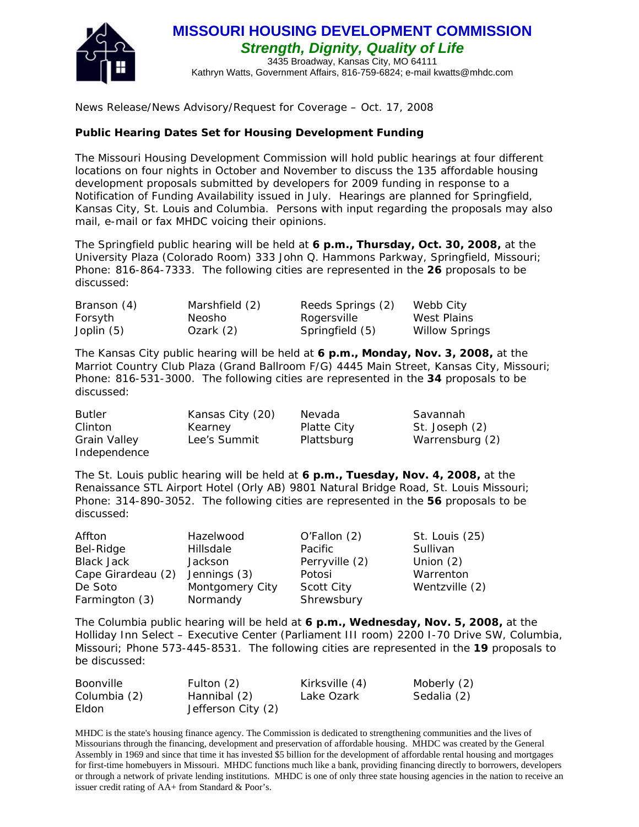

**MISSOURI HOUSING DEVELOPMENT COMMISSION** *Strength, Dignity, Quality of Life*

3435 Broadway, Kansas City, MO 64111 Kathryn Watts, Government Affairs, 816-759-6824; e-mail kwatts@mhdc.com

News Release/News Advisory/Request for Coverage – Oct. 17, 2008

## **Public Hearing Dates Set for Housing Development Funding**

The Missouri Housing Development Commission will hold public hearings at four different locations on four nights in October and November to discuss the 135 affordable housing development proposals submitted by developers for 2009 funding in response to a Notification of Funding Availability issued in July. Hearings are planned for Springfield, Kansas City, St. Louis and Columbia. Persons with input regarding the proposals may also mail, e-mail or fax MHDC voicing their opinions.

The Springfield public hearing will be held at **6 p.m., Thursday, Oct. 30, 2008,** at the University Plaza (Colorado Room) 333 John Q. Hammons Parkway, Springfield, Missouri; Phone: 816-864-7333. The following cities are represented in the **26** proposals to be discussed:

| Branson (4) | Marshfield (2) | Reeds Springs (2) | Webb City             |
|-------------|----------------|-------------------|-----------------------|
| Forsyth     | Neosho         | Rogersville       | West Plains           |
| Joplin (5)  | Ozark (2)      | Springfield (5)   | <b>Willow Springs</b> |

The Kansas City public hearing will be held at **6 p.m., Monday, Nov. 3, 2008,** at the Marriot Country Club Plaza (Grand Ballroom F/G) 4445 Main Street, Kansas City, Missouri; Phone: 816-531-3000. The following cities are represented in the **34** proposals to be discussed:

| <b>Butler</b> | Kansas City (20) | Nevada      | Savannah        |
|---------------|------------------|-------------|-----------------|
| Clinton       | Kearney          | Platte City | St. Joseph (2)  |
| Grain Valley  | Lee's Summit     | Plattsburg  | Warrensburg (2) |
| Independence  |                  |             |                 |

The St. Louis public hearing will be held at **6 p.m., Tuesday, Nov. 4, 2008,** at the Renaissance STL Airport Hotel (Orly AB) 9801 Natural Bridge Road, St. Louis Missouri; Phone: 314-890-3052. The following cities are represented in the **56** proposals to be discussed:

| Affton             | Hazelwood       | O'Fallon (2)      | St. Louis (25) |
|--------------------|-----------------|-------------------|----------------|
| Bel-Ridge          | Hillsdale       | Pacific           | Sullivan       |
| <b>Black Jack</b>  | Jackson         | Perryville (2)    | Union $(2)$    |
| Cape Girardeau (2) | Jennings (3)    | Potosi            | Warrenton      |
| De Soto            | Montgomery City | <b>Scott City</b> | Wentzville (2) |
| Farmington (3)     | Normandy        | Shrewsbury        |                |

The Columbia public hearing will be held at **6 p.m., Wednesday, Nov. 5, 2008,** at the Holliday Inn Select – Executive Center (Parliament III room) 2200 I-70 Drive SW, Columbia, Missouri; Phone 573-445-8531. The following cities are represented in the **19** proposals to be discussed:

| <b>Boonville</b> | Fulton (2)         | Kirksville (4) | Moberly (2) |
|------------------|--------------------|----------------|-------------|
| Columbia (2)     | Hannibal (2)       | Lake Ozark     | Sedalia (2) |
| Eldon            | Jefferson City (2) |                |             |

MHDC is the state's housing finance agency. The Commission is dedicated to strengthening communities and the lives of Missourians through the financing, development and preservation of affordable housing. MHDC was created by the General Assembly in 1969 and since that time it has invested \$5 billion for the development of affordable rental housing and mortgages for first-time homebuyers in Missouri. MHDC functions much like a bank, providing financing directly to borrowers, developers or through a network of private lending institutions. MHDC is one of only three state housing agencies in the nation to receive an issuer credit rating of AA+ from Standard & Poor's.